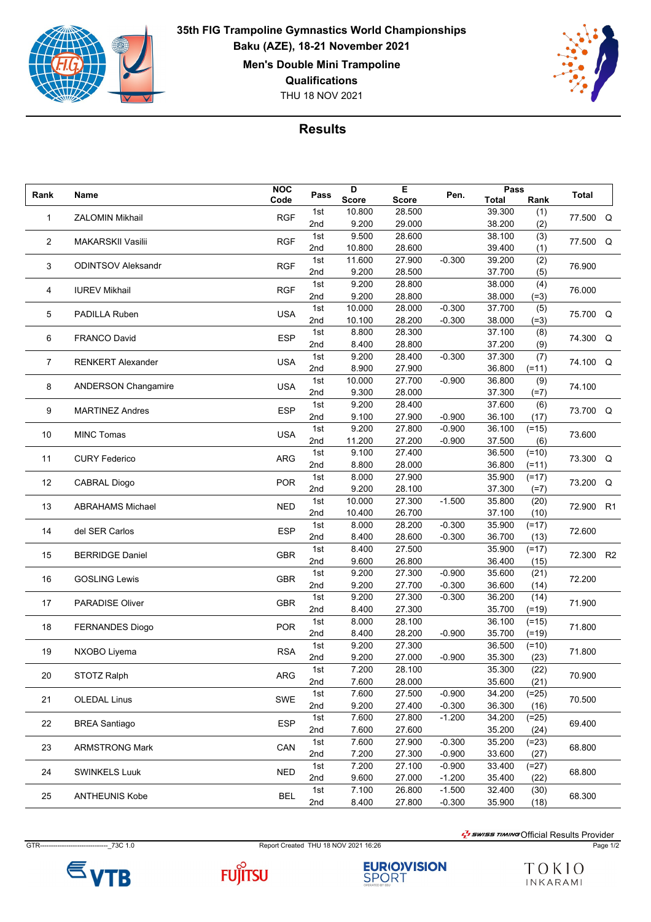

## THU 18 NOV 2021 **35th FIG Trampoline Gymnastics World Championships Baku (AZE), 18-21 November 2021 Men's Double Mini Trampoline Qualifications**



## **Results**

|        |                            | <b>NOC</b> |      | D            | Е            |          | Pass         |         |              |    |
|--------|----------------------------|------------|------|--------------|--------------|----------|--------------|---------|--------------|----|
| Rank   | Name                       | Code       | Pass | <b>Score</b> | <b>Score</b> | Pen.     | <b>Total</b> | Rank    | <b>Total</b> |    |
| 1      | <b>ZALOMIN Mikhail</b>     | <b>RGF</b> | 1st  | 10.800       | 28.500       |          | 39.300       | (1)     | 77.500       | Q  |
|        |                            |            | 2nd  | 9.200        | 29.000       |          | 38.200       | (2)     |              |    |
| 2      | <b>MAKARSKII Vasilii</b>   | <b>RGF</b> | 1st  | 9.500        | 28.600       |          | 38.100       | (3)     | 77.500 Q     |    |
|        |                            |            | 2nd  | 10.800       | 28.600       |          | 39.400       | (1)     |              |    |
| 3      | <b>ODINTSOV Aleksandr</b>  | <b>RGF</b> | 1st  | 11.600       | 27.900       | $-0.300$ | 39.200       | (2)     | 76.900       |    |
|        |                            |            | 2nd  | 9.200        | 28.500       |          | 37.700       | (5)     |              |    |
| 4      | <b>IUREV Mikhail</b>       | <b>RGF</b> | 1st  | 9.200        | 28.800       |          | 38.000       | (4)     | 76.000       |    |
|        |                            |            | 2nd  | 9.200        | 28.800       |          | 38.000       | $(=3)$  |              |    |
| 5      | PADILLA Ruben              | <b>USA</b> | 1st  | 10.000       | 28.000       | $-0.300$ | 37.700       | (5)     | 75.700 Q     |    |
|        |                            |            | 2nd  | 10.100       | 28.200       | $-0.300$ | 38.000       | $(=3)$  |              |    |
| 6      | <b>FRANCO David</b>        | <b>ESP</b> | 1st  | 8.800        | 28.300       |          | 37.100       | (8)     | 74.300       | Q  |
|        |                            |            | 2nd  | 8.400        | 28.800       |          | 37.200       | (9)     |              |    |
|        |                            | <b>USA</b> | 1st  | 9.200        | 28.400       | $-0.300$ | 37.300       | (7)     |              |    |
| 7      | <b>RENKERT Alexander</b>   |            | 2nd  | 8.900        | 27.900       |          | 36.800       | $(=11)$ | 74.100 Q     |    |
|        |                            |            | 1st  | 10.000       | 27.700       | $-0.900$ | 36.800       | (9)     |              |    |
| 8      | <b>ANDERSON Changamire</b> | <b>USA</b> | 2nd  | 9.300        | 28.000       |          | 37.300       | $(=7)$  | 74.100       |    |
|        |                            |            | 1st  | 9.200        | 28.400       |          | 37.600       | (6)     |              |    |
| 9      | <b>MARTINEZ Andres</b>     | <b>ESP</b> | 2nd  | 9.100        | 27.900       | $-0.900$ | 36.100       | (17)    | 73.700 Q     |    |
|        |                            | <b>USA</b> | 1st  | 9.200        | 27.800       | $-0.900$ | 36.100       | $(=15)$ |              |    |
| 10     | <b>MINC Tomas</b>          |            | 2nd  | 11.200       | 27.200       | $-0.900$ | 37.500       | (6)     | 73.600       |    |
|        |                            |            | 1st  | 9.100        | 27.400       |          | 36.500       | $(=10)$ |              |    |
| 11     | <b>CURY Federico</b>       | <b>ARG</b> | 2nd  | 8.800        | 28.000       |          | 36.800       | $(=11)$ | 73.300 Q     |    |
|        |                            | <b>POR</b> | 1st  | 8.000        | 27.900       |          | 35.900       | $(=17)$ |              |    |
| 12     | <b>CABRAL Diogo</b>        |            | 2nd  | 9.200        | 28.100       |          | 37.300       | $(=7)$  | 73.200       | Q  |
|        |                            | <b>NED</b> | 1st  | 10.000       | 27.300       | $-1.500$ | 35.800       | (20)    |              |    |
| 13     | <b>ABRAHAMS Michael</b>    |            | 2nd  | 10.400       | 26.700       |          | 37.100       | (10)    | 72.900       | R1 |
|        |                            | <b>ESP</b> | 1st  | 8.000        | 28.200       | $-0.300$ | 35.900       | $(=17)$ |              |    |
| 14     | del SER Carlos             |            | 2nd  | 8.400        | 28.600       | $-0.300$ | 36.700       | (13)    | 72.600       |    |
|        |                            |            | 1st  | 8.400        | 27.500       |          | 35.900       | $(=17)$ |              |    |
| 15     | <b>BERRIDGE Daniel</b>     | <b>GBR</b> | 2nd  | 9.600        | 26.800       |          | 36.400       | (15)    | 72.300       | R2 |
|        |                            |            | 1st  | 9.200        | 27.300       | $-0.900$ | 35.600       | (21)    |              |    |
| 16     | <b>GOSLING Lewis</b>       | <b>GBR</b> | 2nd  | 9.200        | 27.700       | $-0.300$ | 36.600       | (14)    | 72.200       |    |
|        |                            |            | 1st  | 9.200        | 27.300       | $-0.300$ | 36.200       | (14)    |              |    |
| 17     | <b>PARADISE Oliver</b>     | <b>GBR</b> | 2nd  | 8.400        | 27.300       |          | 35.700       | $(=19)$ | 71.900       |    |
|        |                            |            | 1st  | 8.000        | 28.100       |          | 36.100       | $(=15)$ |              |    |
| 18     | <b>FERNANDES Diogo</b>     | <b>POR</b> | 2nd  | 8.400        | 28.200       | $-0.900$ | 35.700       | $(=19)$ | 71.800       |    |
|        |                            |            | 1st  | 9.200        | 27.300       |          | 36.500       | $(=10)$ |              |    |
| 19     | NXOBO Liyema               | <b>RSA</b> | 2nd  | 9.200        | 27.000       | $-0.900$ | 35.300       | (23)    | 71.800       |    |
|        |                            |            | 1st  | 7.200        | 28.100       |          | 35.300       | (22)    |              |    |
| $20\,$ | STOTZ Ralph                | ARG        | 2nd  | 7.600        | 28.000       |          | 35.600       | (21)    | 70.900       |    |
|        |                            |            | 1st  | 7.600        | 27.500       | $-0.900$ | 34.200       | $(=25)$ |              |    |
| 21     | <b>OLEDAL Linus</b>        | <b>SWE</b> | 2nd  | 9.200        | 27.400       | $-0.300$ | 36.300       | (16)    | 70.500       |    |
|        |                            |            | 1st  | 7.600        | 27.800       | $-1.200$ | 34.200       | $(=25)$ |              |    |
| 22     | <b>BREA Santiago</b>       | <b>ESP</b> | 2nd  | 7.600        | 27.600       |          | 35.200       | (24)    | 69.400       |    |
|        | <b>ARMSTRONG Mark</b>      | CAN        | 1st  | 7.600        | 27.900       | $-0.300$ | 35.200       | $(=23)$ |              |    |
| 23     |                            |            | 2nd  | 7.200        | 27.300       | $-0.900$ | 33.600       | (27)    | 68.800       |    |
|        | 24<br><b>SWINKELS Luuk</b> |            | 1st  | 7.200        | 27.100       | $-0.900$ | 33.400       | $(=27)$ |              |    |
|        |                            | <b>NED</b> | 2nd  | 9.600        | 27.000       | $-1.200$ | 35.400       | (22)    | 68.800       |    |
| 25     | <b>ANTHEUNIS Kobe</b>      |            | 1st  | 7.100        | 26.800       | $-1.500$ | 32.400       | (30)    | 68.300       |    |
|        |                            | <b>BEL</b> | 2nd  | 8.400        | 27.800       | $-0.300$ | 35.900       | (18)    |              |    |
|        |                            |            |      |              |              |          |              |         |              |    |

GTR-------------------------------\_73C 1.0 Report Created THU 18 NOV 2021 16:26 Page 1/2





**EURIO)VISION**<br>SPORT

 $\frac{1}{2}$ swiss TIMING Official Results Provider

TOKIO INKARAMI